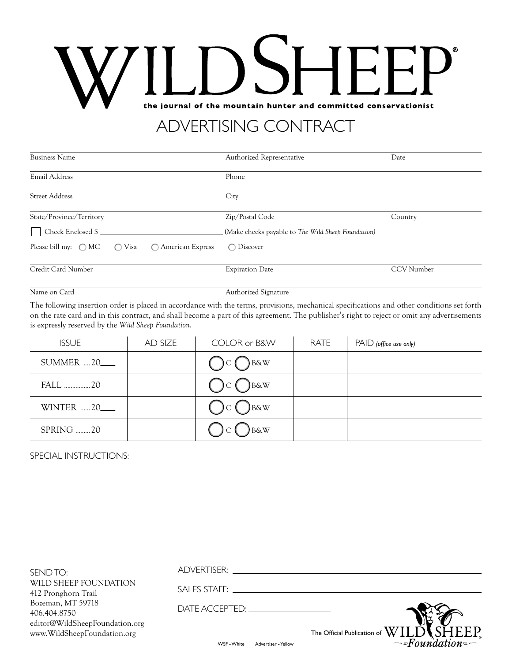# the journal of the mountain hunter and committed conservationist

## ADVERTISING CONTRACT

| <b>Business Name</b>                                                   | Authorized Representative                          | Date       |  |
|------------------------------------------------------------------------|----------------------------------------------------|------------|--|
| Email Address                                                          | Phone                                              |            |  |
| <b>Street Address</b>                                                  | City                                               |            |  |
| State/Province/Territory                                               | Zip/Postal Code                                    | Country    |  |
| Check Enclosed \$                                                      | (Make checks payable to The Wild Sheep Foundation) |            |  |
| Please bill my: $\bigcirc$ MC<br>◯ American Express<br>$\bigcirc$ Visa | Discover<br>$\bigcap$                              |            |  |
| Credit Card Number                                                     | <b>Expiration Date</b>                             | CCV Number |  |
| Name on Card                                                           | Authorized Signature                               |            |  |

The following insertion order is placed in accordance with the terms, provisions, mechanical specifications and other conditions set forth on the rate card and in this contract, and shall become a part of this agreement. The publisher's right to reject or omit any advertisements is expressly reserved by the *Wild Sheep Foundation.*

| <b>ISSUE</b>          | AD SIZE | COLOR or B&W                | RATE | $PAID$ (office use only) |
|-----------------------|---------|-----------------------------|------|--------------------------|
| <b>SUMMER  20____</b> |         | $\sum$ B&W                  |      |                          |
| FALL  20_             |         | $\sum_{\text{B} \& W}$<br>C |      |                          |
| <b>WINTER 20</b>      |         | B&W<br>C                    |      |                          |
| SPRING  20_           |         | <b>B&amp;W</b>              |      |                          |

SPECIAL INSTRUCTIONS:

| SEND TO:                                                      | ADVERTISER:                        |                                                                                             |
|---------------------------------------------------------------|------------------------------------|---------------------------------------------------------------------------------------------|
| WILD SHEEP FOUNDATION<br>412 Pronghorn Trail                  | SALES STAFF:                       |                                                                                             |
| Bozeman, MT 59718<br>406.404.8750                             |                                    |                                                                                             |
| editor@WildSheepFoundation.org<br>www.WildSheepFoundation.org |                                    | The Official Publication of $\text{WILD} \blacklozenge$ $\text{SHEEP}$<br>$\sim$ Foundation |
|                                                               | WSF - White<br>Advertiser - Yellow |                                                                                             |